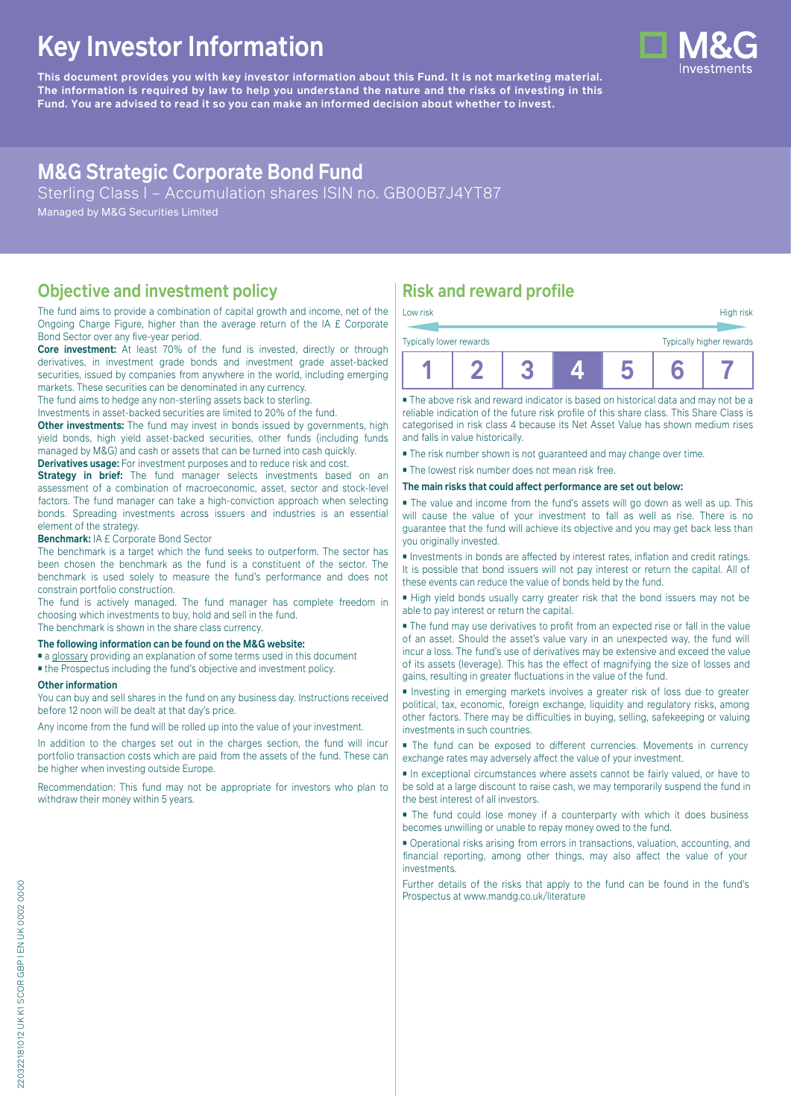# **Key Investor Information**

**This document provides you with key investor information about this Fund. It is not marketing material.** The information is required by law to help you understand the nature and the risks of investing in this **Fund. You are advised to read it so you can make an informed decision about whether to invest.**

# **M&G Strategic Corporate Bond Fund**

Sterling Class I – Accumulation shares ISIN no. GB00B7J4YT87

Managed by M&G Securities Limited

### **Objective and investment policy**

The fund aims to provide a combination of capital growth and income, net of the Ongoing Charge Figure, higher than the average return of the IA £ Corporate Bond Sector over any five-year period.

**Core investment:** At least 70% of the fund is invested, directly or through derivatives, in investment grade bonds and investment grade asset-backed securities, issued by companies from anywhere in the world, including emerging markets. These securities can be denominated in any currency.

The fund aims to hedge any non-sterling assets back to sterling.

Investments in asset-backed securities are limited to 20% of the fund.

**Other investments:** The fund may invest in bonds issued by governments, high yield bonds, high yield asset-backed securities, other funds (including funds managed by M&G) and cash or assets that can be turned into cash quickly. **Derivatives usage:** For investment purposes and to reduce risk and cost.

**Strategy in brief:** The fund manager selects investments based on an assessment of a combination of macroeconomic, asset, sector and stock-level factors. The fund manager can take a high-conviction approach when selecting bonds. Spreading investments across issuers and industries is an essential element of the strategy.

#### **Benchmark:** IA £ Corporate Bond Sector

The benchmark is a target which the fund seeks to outperform. The sector has been chosen the benchmark as the fund is a constituent of the sector. The benchmark is used solely to measure the fund's performance and does not constrain portfolio construction.

The fund is actively managed. The fund manager has complete freedom in choosing which investments to buy, hold and sell in the fund. The benchmark is shown in the share class currency.

### **The following information can be found on the M&G website:**

- [a glossary](https://docs.mandg.com/docs/glossary-master-en.pdf) providing an explanation of some terms used in this document
- the Prospectus including the fund's objective and investment policy.

#### **Other information**

You can buy and sell shares in the fund on any business day. Instructions received before 12 noon will be dealt at that day's price.

Any income from the fund will be rolled up into the value of your investment.

In addition to the charges set out in the charges section, the fund will incur portfolio transaction costs which are paid from the assets of the fund. These can be higher when investing outside Europe.

Recommendation: This fund may not be appropriate for investors who plan to withdraw their money within 5 years.

# **Risk and reward profile**

| Low risk                |  |  | High risk                |
|-------------------------|--|--|--------------------------|
| Typically lower rewards |  |  | Typically higher rewards |
|                         |  |  |                          |

■ The above risk and reward indicator is based on historical data and may not be a reliable indication of the future risk profile of this share class. This Share Class is categorised in risk class 4 because its Net Asset Value has shown medium rises and falls in value historically.

■ The risk number shown is not guaranteed and may change over time.

■ The lowest risk number does not mean risk free.

#### **The main risks that could affect performance are set out below:**

■ The value and income from the fund's assets will go down as well as up. This will cause the value of your investment to fall as well as rise. There is no guarantee that the fund will achieve its objective and you may get back less than you originally invested.

■ Investments in bonds are affected by interest rates, inflation and credit ratings. It is possible that bond issuers will not pay interest or return the capital. All of these events can reduce the value of bonds held by the fund.

■ High yield bonds usually carry greater risk that the bond issuers may not be able to pay interest or return the capital.

■ The fund may use derivatives to profit from an expected rise or fall in the value of an asset. Should the asset's value vary in an unexpected way, the fund will incur a loss. The fund's use of derivatives may be extensive and exceed the value of its assets (leverage). This has the effect of magnifying the size of losses and gains, resulting in greater fluctuations in the value of the fund.

■ Investing in emerging markets involves a greater risk of loss due to greater political, tax, economic, foreign exchange, liquidity and regulatory risks, among other factors. There may be difficulties in buying, selling, safekeeping or valuing investments in such countries.

■ The fund can be exposed to different currencies. Movements in currency exchange rates may adversely affect the value of your investment.

■ In exceptional circumstances where assets cannot be fairly valued, or have to be sold at a large discount to raise cash, we may temporarily suspend the fund in the best interest of all investors.

■ The fund could lose money if a counterparty with which it does business becomes unwilling or unable to repay money owed to the fund.

■ Operational risks arising from errors in transactions, valuation, accounting, and financial reporting, among other things, may also affect the value of your investments.

Further details of the risks that apply to the fund can be found in the fund's Prospectus at [www.mandg.co.uk/literature](http://www.mandg.co.uk/literature)